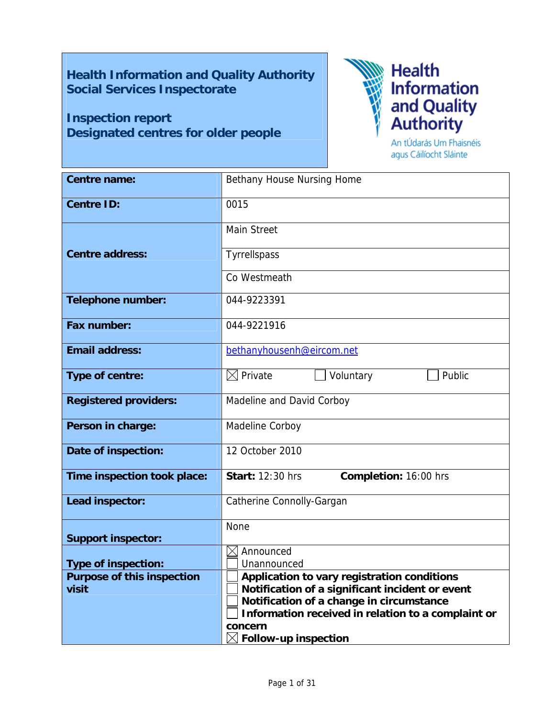# **Health Information and Quality Authority Social Services Inspectorate**

# **Inspection report Designated centres for older people**



agus Cáilíocht Sláinte

| <b>Centre name:</b>               | Bethany House Nursing Home                                                                  |  |  |  |
|-----------------------------------|---------------------------------------------------------------------------------------------|--|--|--|
| <b>Centre ID:</b>                 | 0015                                                                                        |  |  |  |
|                                   | <b>Main Street</b>                                                                          |  |  |  |
| <b>Centre address:</b>            | Tyrrellspass                                                                                |  |  |  |
|                                   | Co Westmeath                                                                                |  |  |  |
| <b>Telephone number:</b>          | 044-9223391                                                                                 |  |  |  |
| Fax number:                       | 044-9221916                                                                                 |  |  |  |
| <b>Email address:</b>             | bethanyhousenh@eircom.net                                                                   |  |  |  |
| Type of centre:                   | $\boxtimes$ Private<br>Public<br>Voluntary                                                  |  |  |  |
| <b>Registered providers:</b>      | Madeline and David Corboy                                                                   |  |  |  |
| Person in charge:                 | Madeline Corboy                                                                             |  |  |  |
| Date of inspection:               | 12 October 2010                                                                             |  |  |  |
| Time inspection took place:       | <b>Start: 12:30 hrs</b><br>Completion: 16:00 hrs                                            |  |  |  |
| Lead inspector:                   | Catherine Connolly-Gargan                                                                   |  |  |  |
| <b>Support inspector:</b>         | None                                                                                        |  |  |  |
|                                   | Announced<br>$\boxtimes$                                                                    |  |  |  |
| <b>Type of inspection:</b>        | Unannounced                                                                                 |  |  |  |
| <b>Purpose of this inspection</b> | Application to vary registration conditions                                                 |  |  |  |
| visit                             | Notification of a significant incident or event<br>Notification of a change in circumstance |  |  |  |
|                                   | Information received in relation to a complaint or                                          |  |  |  |
|                                   | concern                                                                                     |  |  |  |
|                                   | $\boxtimes$ Follow-up inspection                                                            |  |  |  |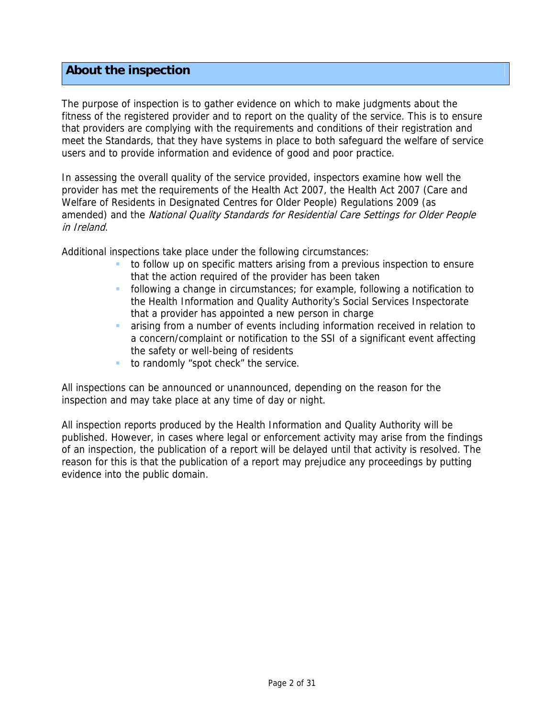# **About the inspection**

The purpose of inspection is to gather evidence on which to make judgments about the fitness of the registered provider and to report on the quality of the service. This is to ensure that providers are complying with the requirements and conditions of their registration and meet the Standards, that they have systems in place to both safeguard the welfare of service users and to provide information and evidence of good and poor practice.

In assessing the overall quality of the service provided, inspectors examine how well the provider has met the requirements of the Health Act 2007, the Health Act 2007 (Care and Welfare of Residents in Designated Centres for Older People) Regulations 2009 (as amended) and the National Quality Standards for Residential Care Settings for Older People in Ireland.

Additional inspections take place under the following circumstances:

- to follow up on specific matters arising from a previous inspection to ensure that the action required of the provider has been taken
- following a change in circumstances; for example, following a notification to the Health Information and Quality Authority's Social Services Inspectorate that a provider has appointed a new person in charge
- arising from a number of events including information received in relation to a concern/complaint or notification to the SSI of a significant event affecting the safety or well-being of residents
- to randomly "spot check" the service.

All inspections can be announced or unannounced, depending on the reason for the inspection and may take place at any time of day or night.

All inspection reports produced by the Health Information and Quality Authority will be published. However, in cases where legal or enforcement activity may arise from the findings of an inspection, the publication of a report will be delayed until that activity is resolved. The reason for this is that the publication of a report may prejudice any proceedings by putting evidence into the public domain.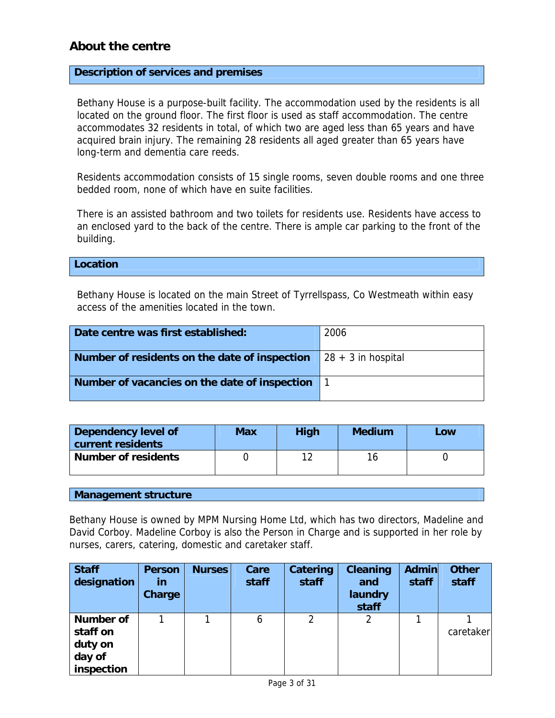# **About the centre**

#### **Description of services and premises**

Bethany House is a purpose-built facility. The accommodation used by the residents is all located on the ground floor. The first floor is used as staff accommodation. The centre accommodates 32 residents in total, of which two are aged less than 65 years and have acquired brain injury. The remaining 28 residents all aged greater than 65 years have long-term and dementia care reeds.

Residents accommodation consists of 15 single rooms, seven double rooms and one three bedded room, none of which have en suite facilities.

There is an assisted bathroom and two toilets for residents use. Residents have access to an enclosed yard to the back of the centre. There is ample car parking to the front of the building.

**Location** 

Bethany House is located on the main Street of Tyrrellspass, Co Westmeath within easy access of the amenities located in the town.

| Date centre was first established:                                                | 2006 |
|-----------------------------------------------------------------------------------|------|
| Number of residents on the date of inspection $\left  \right.$ 28 + 3 in hospital |      |
| Number of vacancies on the date of inspection                                     |      |

| Dependency level of<br>current residents | <b>Max</b> | <b>High</b> | <b>Medium</b> | Low |
|------------------------------------------|------------|-------------|---------------|-----|
| <b>Number of residents</b>               |            |             |               |     |

#### **Management structure**

Bethany House is owned by MPM Nursing Home Ltd, which has two directors, Madeline and David Corboy. Madeline Corboy is also the Person in Charge and is supported in her role by nurses, carers, catering, domestic and caretaker staff.

| <b>Staff</b><br>designation                       | <b>Person</b><br><u>in</u><br>Charge | <b>Nurses</b> | Care<br>staff | Catering<br>staff | <b>Cleaning</b><br>and<br>laundry<br>staff | <b>Admin</b><br>staff | <b>Other</b><br>staff |
|---------------------------------------------------|--------------------------------------|---------------|---------------|-------------------|--------------------------------------------|-----------------------|-----------------------|
| <b>Number of</b><br>staff on<br>duty on<br>day of |                                      |               | 6             | $\overline{2}$    |                                            |                       | caretaker             |
| inspection                                        |                                      |               |               |                   |                                            |                       |                       |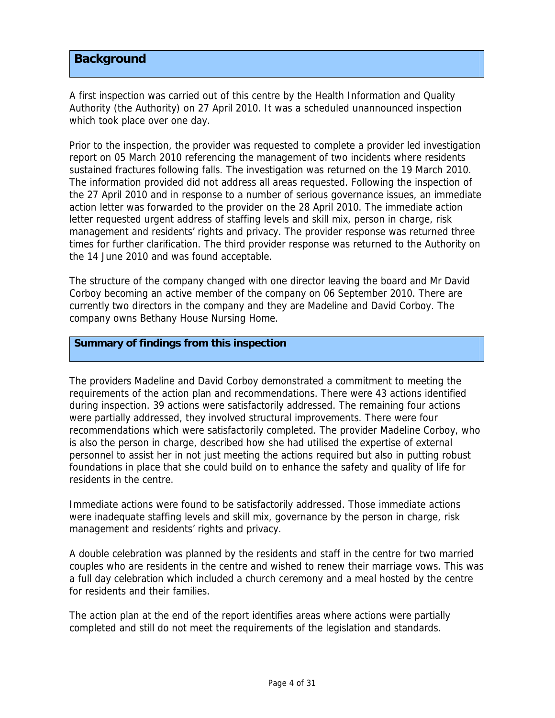# **Background**

A first inspection was carried out of this centre by the Health Information and Quality Authority (the Authority) on 27 April 2010. It was a scheduled unannounced inspection which took place over one day.

Prior to the inspection, the provider was requested to complete a provider led investigation report on 05 March 2010 referencing the management of two incidents where residents sustained fractures following falls. The investigation was returned on the 19 March 2010. The information provided did not address all areas requested. Following the inspection of the 27 April 2010 and in response to a number of serious governance issues, an immediate action letter was forwarded to the provider on the 28 April 2010. The immediate action letter requested urgent address of staffing levels and skill mix, person in charge, risk management and residents' rights and privacy. The provider response was returned three times for further clarification. The third provider response was returned to the Authority on the 14 June 2010 and was found acceptable.

The structure of the company changed with one director leaving the board and Mr David Corboy becoming an active member of the company on 06 September 2010. There are currently two directors in the company and they are Madeline and David Corboy. The company owns Bethany House Nursing Home.

#### **Summary of findings from this inspection**

The providers Madeline and David Corboy demonstrated a commitment to meeting the requirements of the action plan and recommendations. There were 43 actions identified during inspection. 39 actions were satisfactorily addressed. The remaining four actions were partially addressed, they involved structural improvements. There were four recommendations which were satisfactorily completed. The provider Madeline Corboy, who is also the person in charge, described how she had utilised the expertise of external personnel to assist her in not just meeting the actions required but also in putting robust foundations in place that she could build on to enhance the safety and quality of life for residents in the centre.

Immediate actions were found to be satisfactorily addressed. Those immediate actions were inadequate staffing levels and skill mix, governance by the person in charge, risk management and residents' rights and privacy.

A double celebration was planned by the residents and staff in the centre for two married couples who are residents in the centre and wished to renew their marriage vows. This was a full day celebration which included a church ceremony and a meal hosted by the centre for residents and their families.

The action plan at the end of the report identifies areas where actions were partially completed and still do not meet the requirements of the legislation and standards.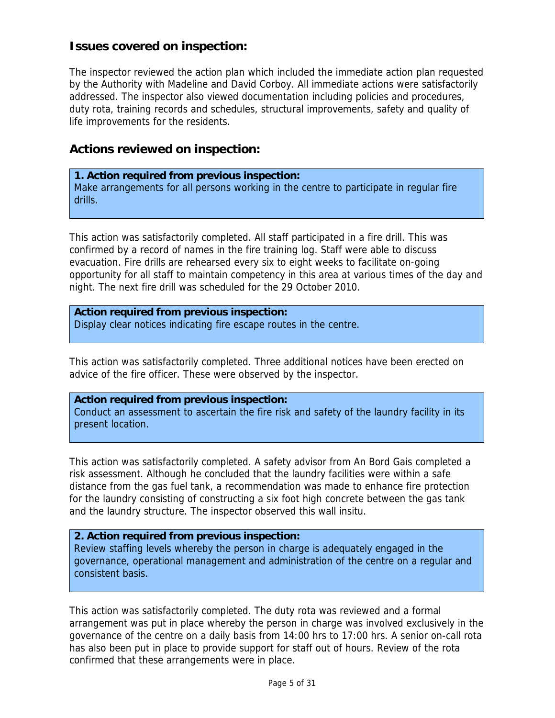# **Issues covered on inspection:**

The inspector reviewed the action plan which included the immediate action plan requested by the Authority with Madeline and David Corboy. All immediate actions were satisfactorily addressed. The inspector also viewed documentation including policies and procedures, duty rota, training records and schedules, structural improvements, safety and quality of life improvements for the residents.

# **Actions reviewed on inspection:**

# **1. Action required from previous inspection:**

Make arrangements for all persons working in the centre to participate in regular fire drills.

This action was satisfactorily completed. All staff participated in a fire drill. This was confirmed by a record of names in the fire training log. Staff were able to discuss evacuation. Fire drills are rehearsed every six to eight weeks to facilitate on-going opportunity for all staff to maintain competency in this area at various times of the day and night. The next fire drill was scheduled for the 29 October 2010.

**Action required from previous inspection:** Display clear notices indicating fire escape routes in the centre.

This action was satisfactorily completed. Three additional notices have been erected on advice of the fire officer. These were observed by the inspector.

## **Action required from previous inspection:**

Conduct an assessment to ascertain the fire risk and safety of the laundry facility in its present location.

This action was satisfactorily completed. A safety advisor from An Bord Gais completed a risk assessment. Although he concluded that the laundry facilities were within a safe distance from the gas fuel tank, a recommendation was made to enhance fire protection for the laundry consisting of constructing a six foot high concrete between the gas tank and the laundry structure. The inspector observed this wall insitu.

# **2. Action required from previous inspection:**

Review staffing levels whereby the person in charge is adequately engaged in the governance, operational management and administration of the centre on a regular and consistent basis.

This action was satisfactorily completed. The duty rota was reviewed and a formal arrangement was put in place whereby the person in charge was involved exclusively in the governance of the centre on a daily basis from 14:00 hrs to 17:00 hrs. A senior on-call rota has also been put in place to provide support for staff out of hours. Review of the rota confirmed that these arrangements were in place.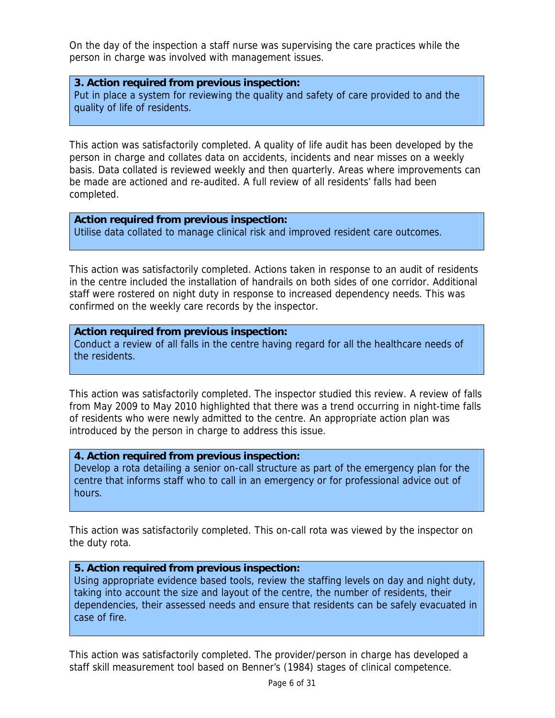On the day of the inspection a staff nurse was supervising the care practices while the person in charge was involved with management issues.

#### **3. Action required from previous inspection:**

Put in place a system for reviewing the quality and safety of care provided to and the quality of life of residents.

This action was satisfactorily completed. A quality of life audit has been developed by the person in charge and collates data on accidents, incidents and near misses on a weekly basis. Data collated is reviewed weekly and then quarterly. Areas where improvements can be made are actioned and re-audited. A full review of all residents' falls had been completed.

# **Action required from previous inspection:**

Utilise data collated to manage clinical risk and improved resident care outcomes.

This action was satisfactorily completed. Actions taken in response to an audit of residents in the centre included the installation of handrails on both sides of one corridor. Additional staff were rostered on night duty in response to increased dependency needs. This was confirmed on the weekly care records by the inspector.

#### **Action required from previous inspection:**

Conduct a review of all falls in the centre having regard for all the healthcare needs of the residents.

This action was satisfactorily completed. The inspector studied this review. A review of falls from May 2009 to May 2010 highlighted that there was a trend occurring in night-time falls of residents who were newly admitted to the centre. An appropriate action plan was introduced by the person in charge to address this issue.

# **4. Action required from previous inspection:**

Develop a rota detailing a senior on-call structure as part of the emergency plan for the centre that informs staff who to call in an emergency or for professional advice out of hours.

This action was satisfactorily completed. This on-call rota was viewed by the inspector on the duty rota.

## **5. Action required from previous inspection:**

Using appropriate evidence based tools, review the staffing levels on day and night duty, taking into account the size and layout of the centre, the number of residents, their dependencies, their assessed needs and ensure that residents can be safely evacuated in case of fire.

This action was satisfactorily completed. The provider/person in charge has developed a staff skill measurement tool based on Benner's (1984) stages of clinical competence.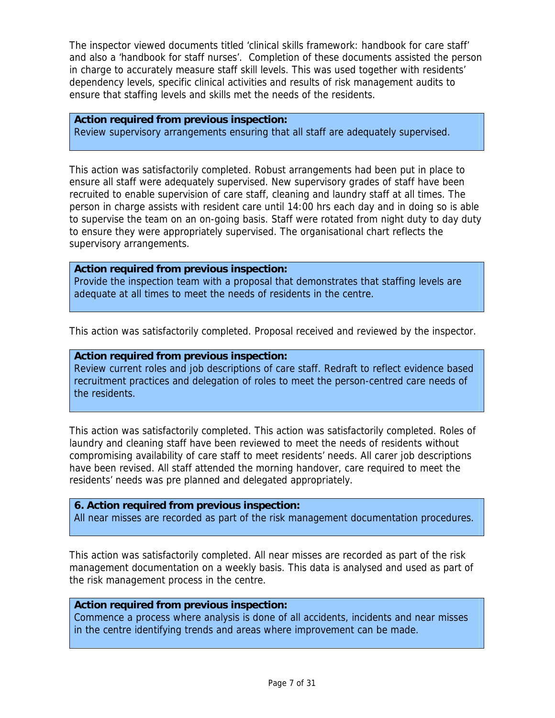The inspector viewed documents titled 'clinical skills framework: handbook for care staff' and also a 'handbook for staff nurses'. Completion of these documents assisted the person in charge to accurately measure staff skill levels. This was used together with residents' dependency levels, specific clinical activities and results of risk management audits to ensure that staffing levels and skills met the needs of the residents.

#### **Action required from previous inspection:**

Review supervisory arrangements ensuring that all staff are adequately supervised.

This action was satisfactorily completed. Robust arrangements had been put in place to ensure all staff were adequately supervised. New supervisory grades of staff have been recruited to enable supervision of care staff, cleaning and laundry staff at all times. The person in charge assists with resident care until 14:00 hrs each day and in doing so is able to supervise the team on an on-going basis. Staff were rotated from night duty to day duty to ensure they were appropriately supervised. The organisational chart reflects the supervisory arrangements.

**Action required from previous inspection:** Provide the inspection team with a proposal that demonstrates that staffing levels are adequate at all times to meet the needs of residents in the centre.

This action was satisfactorily completed. Proposal received and reviewed by the inspector.

#### **Action required from previous inspection:**

Review current roles and job descriptions of care staff. Redraft to reflect evidence based recruitment practices and delegation of roles to meet the person-centred care needs of the residents.

This action was satisfactorily completed. This action was satisfactorily completed. Roles of laundry and cleaning staff have been reviewed to meet the needs of residents without compromising availability of care staff to meet residents' needs. All carer job descriptions have been revised. All staff attended the morning handover, care required to meet the residents' needs was pre planned and delegated appropriately.

#### **6. Action required from previous inspection:**

All near misses are recorded as part of the risk management documentation procedures.

This action was satisfactorily completed. All near misses are recorded as part of the risk management documentation on a weekly basis. This data is analysed and used as part of the risk management process in the centre.

#### **Action required from previous inspection:**

Commence a process where analysis is done of all accidents, incidents and near misses in the centre identifying trends and areas where improvement can be made.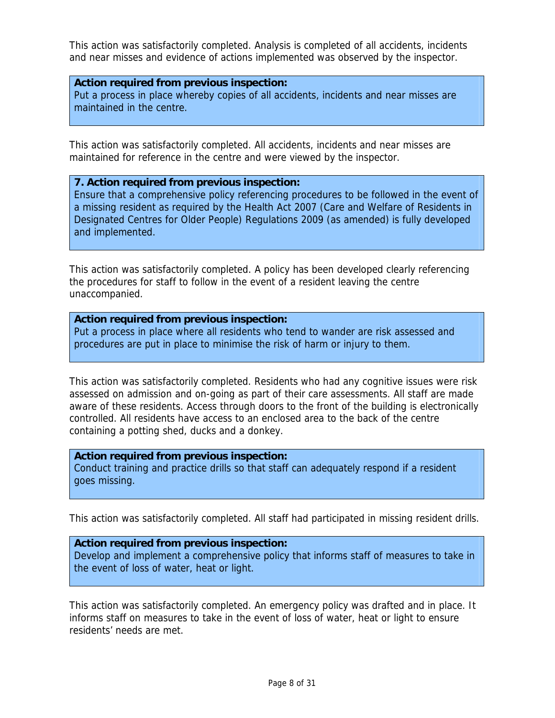This action was satisfactorily completed. Analysis is completed of all accidents, incidents and near misses and evidence of actions implemented was observed by the inspector.

#### **Action required from previous inspection:**

Put a process in place whereby copies of all accidents, incidents and near misses are maintained in the centre.

This action was satisfactorily completed. All accidents, incidents and near misses are maintained for reference in the centre and were viewed by the inspector.

#### **7. Action required from previous inspection:**

Ensure that a comprehensive policy referencing procedures to be followed in the event of a missing resident as required by the Health Act 2007 (Care and Welfare of Residents in Designated Centres for Older People) Regulations 2009 (as amended) is fully developed and implemented.

This action was satisfactorily completed. A policy has been developed clearly referencing the procedures for staff to follow in the event of a resident leaving the centre unaccompanied.

## **Action required from previous inspection:**

Put a process in place where all residents who tend to wander are risk assessed and procedures are put in place to minimise the risk of harm or injury to them.

This action was satisfactorily completed. Residents who had any cognitive issues were risk assessed on admission and on-going as part of their care assessments. All staff are made aware of these residents. Access through doors to the front of the building is electronically controlled. All residents have access to an enclosed area to the back of the centre containing a potting shed, ducks and a donkey.

## **Action required from previous inspection:**

Conduct training and practice drills so that staff can adequately respond if a resident goes missing.

This action was satisfactorily completed. All staff had participated in missing resident drills.

#### **Action required from previous inspection:**

Develop and implement a comprehensive policy that informs staff of measures to take in the event of loss of water, heat or light.

This action was satisfactorily completed. An emergency policy was drafted and in place. It informs staff on measures to take in the event of loss of water, heat or light to ensure residents' needs are met.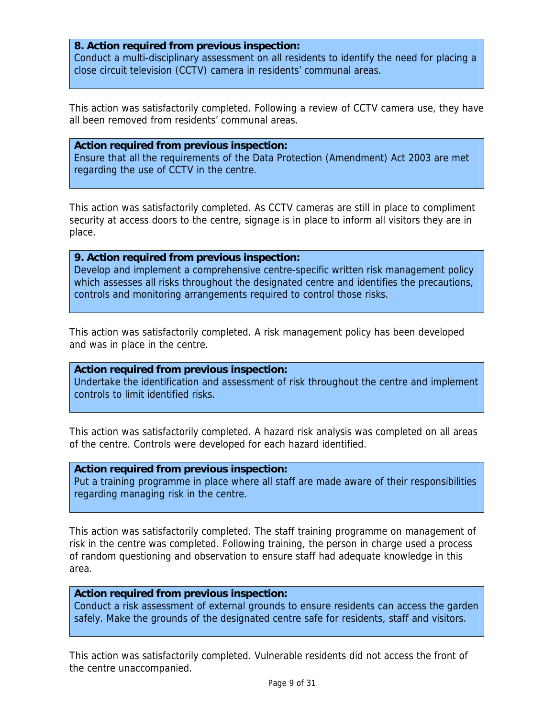#### **8. Action required from previous inspection:**

Conduct a multi-disciplinary assessment on all residents to identify the need for placing a close circuit television (CCTV) camera in residents' communal areas.

This action was satisfactorily completed. Following a review of CCTV camera use, they have all been removed from residents' communal areas.

#### **Action required from previous inspection:**

Ensure that all the requirements of the Data Protection (Amendment) Act 2003 are met regarding the use of CCTV in the centre.

This action was satisfactorily completed. As CCTV cameras are still in place to compliment security at access doors to the centre, signage is in place to inform all visitors they are in place.

#### **9. Action required from previous inspection:**

Develop and implement a comprehensive centre-specific written risk management policy which assesses all risks throughout the designated centre and identifies the precautions, controls and monitoring arrangements required to control those risks.

This action was satisfactorily completed. A risk management policy has been developed and was in place in the centre.

## **Action required from previous inspection:**

Undertake the identification and assessment of risk throughout the centre and implement controls to limit identified risks.

This action was satisfactorily completed. A hazard risk analysis was completed on all areas of the centre. Controls were developed for each hazard identified.

#### **Action required from previous inspection:**

Put a training programme in place where all staff are made aware of their responsibilities regarding managing risk in the centre.

This action was satisfactorily completed. The staff training programme on management of risk in the centre was completed. Following training, the person in charge used a process of random questioning and observation to ensure staff had adequate knowledge in this area.

#### **Action required from previous inspection:**

Conduct a risk assessment of external grounds to ensure residents can access the garden safely. Make the grounds of the designated centre safe for residents, staff and visitors.

This action was satisfactorily completed. Vulnerable residents did not access the front of the centre unaccompanied.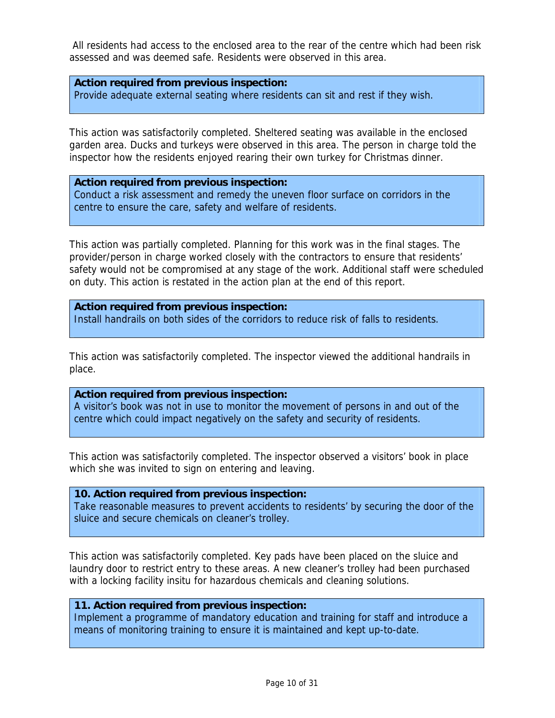All residents had access to the enclosed area to the rear of the centre which had been risk assessed and was deemed safe. Residents were observed in this area.

#### **Action required from previous inspection:**

Provide adequate external seating where residents can sit and rest if they wish.

This action was satisfactorily completed. Sheltered seating was available in the enclosed garden area. Ducks and turkeys were observed in this area. The person in charge told the inspector how the residents enjoyed rearing their own turkey for Christmas dinner.

**Action required from previous inspection:** Conduct a risk assessment and remedy the uneven floor surface on corridors in the centre to ensure the care, safety and welfare of residents.

This action was partially completed. Planning for this work was in the final stages. The provider/person in charge worked closely with the contractors to ensure that residents' safety would not be compromised at any stage of the work. Additional staff were scheduled on duty. This action is restated in the action plan at the end of this report.

#### **Action required from previous inspection:**

Install handrails on both sides of the corridors to reduce risk of falls to residents.

This action was satisfactorily completed. The inspector viewed the additional handrails in place.

#### **Action required from previous inspection:**

A visitor's book was not in use to monitor the movement of persons in and out of the centre which could impact negatively on the safety and security of residents.

This action was satisfactorily completed. The inspector observed a visitors' book in place which she was invited to sign on entering and leaving.

#### **10. Action required from previous inspection:**

Take reasonable measures to prevent accidents to residents' by securing the door of the sluice and secure chemicals on cleaner's trolley.

This action was satisfactorily completed. Key pads have been placed on the sluice and laundry door to restrict entry to these areas. A new cleaner's trolley had been purchased with a locking facility insitu for hazardous chemicals and cleaning solutions.

#### **11. Action required from previous inspection:**

Implement a programme of mandatory education and training for staff and introduce a means of monitoring training to ensure it is maintained and kept up-to-date.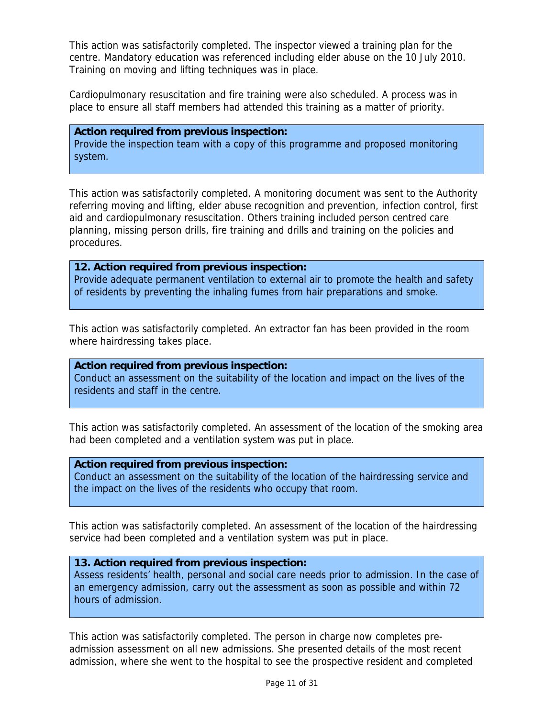This action was satisfactorily completed. The inspector viewed a training plan for the centre. Mandatory education was referenced including elder abuse on the 10 July 2010. Training on moving and lifting techniques was in place.

Cardiopulmonary resuscitation and fire training were also scheduled. A process was in place to ensure all staff members had attended this training as a matter of priority.

**Action required from previous inspection:** Provide the inspection team with a copy of this programme and proposed monitoring system.

This action was satisfactorily completed. A monitoring document was sent to the Authority referring moving and lifting, elder abuse recognition and prevention, infection control, first aid and cardiopulmonary resuscitation. Others training included person centred care planning, missing person drills, fire training and drills and training on the policies and procedures.

**12. Action required from previous inspection:** Provide adequate permanent ventilation to external air to promote the health and safety of residents by preventing the inhaling fumes from hair preparations and smoke.

This action was satisfactorily completed. An extractor fan has been provided in the room where hairdressing takes place.

**Action required from previous inspection:** Conduct an assessment on the suitability of the location and impact on the lives of the residents and staff in the centre.

This action was satisfactorily completed. An assessment of the location of the smoking area had been completed and a ventilation system was put in place.

**Action required from previous inspection:**

Conduct an assessment on the suitability of the location of the hairdressing service and the impact on the lives of the residents who occupy that room.

This action was satisfactorily completed. An assessment of the location of the hairdressing service had been completed and a ventilation system was put in place.

#### **13. Action required from previous inspection:**

Assess residents' health, personal and social care needs prior to admission. In the case of an emergency admission, carry out the assessment as soon as possible and within 72 hours of admission.

This action was satisfactorily completed. The person in charge now completes preadmission assessment on all new admissions. She presented details of the most recent admission, where she went to the hospital to see the prospective resident and completed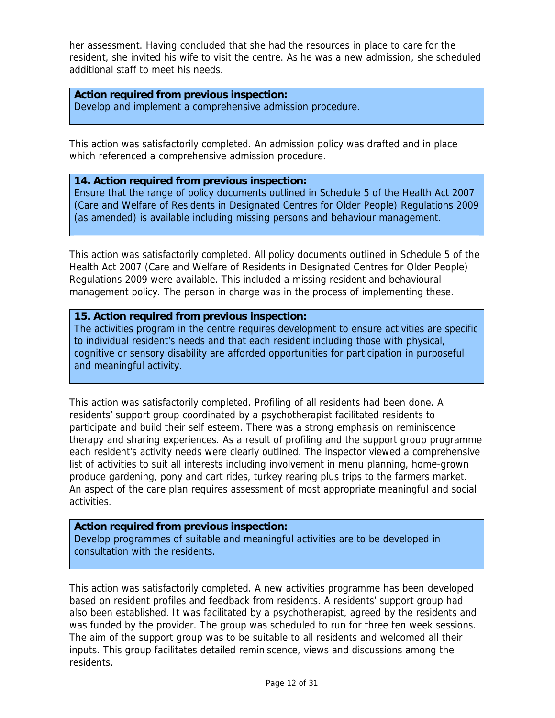her assessment. Having concluded that she had the resources in place to care for the resident, she invited his wife to visit the centre. As he was a new admission, she scheduled additional staff to meet his needs.

**Action required from previous inspection:** Develop and implement a comprehensive admission procedure.

This action was satisfactorily completed. An admission policy was drafted and in place which referenced a comprehensive admission procedure.

## **14. Action required from previous inspection:**

Ensure that the range of policy documents outlined in Schedule 5 of the Health Act 2007 (Care and Welfare of Residents in Designated Centres for Older People) Regulations 2009 (as amended) is available including missing persons and behaviour management.

This action was satisfactorily completed. All policy documents outlined in Schedule 5 of the Health Act 2007 (Care and Welfare of Residents in Designated Centres for Older People) Regulations 2009 were available. This included a missing resident and behavioural management policy. The person in charge was in the process of implementing these.

#### **15. Action required from previous inspection:**

The activities program in the centre requires development to ensure activities are specific to individual resident's needs and that each resident including those with physical, cognitive or sensory disability are afforded opportunities for participation in purposeful and meaningful activity.

This action was satisfactorily completed. Profiling of all residents had been done. A residents' support group coordinated by a psychotherapist facilitated residents to participate and build their self esteem. There was a strong emphasis on reminiscence therapy and sharing experiences. As a result of profiling and the support group programme each resident's activity needs were clearly outlined. The inspector viewed a comprehensive list of activities to suit all interests including involvement in menu planning, home-grown produce gardening, pony and cart rides, turkey rearing plus trips to the farmers market. An aspect of the care plan requires assessment of most appropriate meaningful and social activities.

#### **Action required from previous inspection:**

Develop programmes of suitable and meaningful activities are to be developed in consultation with the residents.

This action was satisfactorily completed. A new activities programme has been developed based on resident profiles and feedback from residents. A residents' support group had also been established. It was facilitated by a psychotherapist, agreed by the residents and was funded by the provider. The group was scheduled to run for three ten week sessions. The aim of the support group was to be suitable to all residents and welcomed all their inputs. This group facilitates detailed reminiscence, views and discussions among the residents.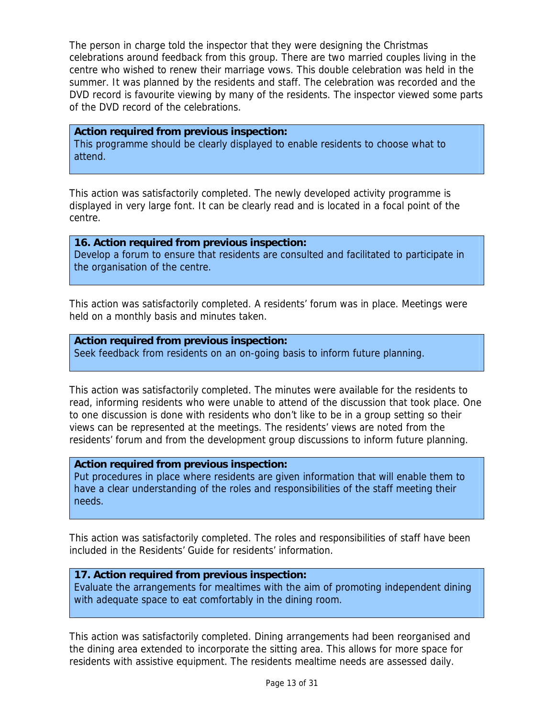The person in charge told the inspector that they were designing the Christmas celebrations around feedback from this group. There are two married couples living in the centre who wished to renew their marriage vows. This double celebration was held in the summer. It was planned by the residents and staff. The celebration was recorded and the DVD record is favourite viewing by many of the residents. The inspector viewed some parts of the DVD record of the celebrations.

#### **Action required from previous inspection:**

This programme should be clearly displayed to enable residents to choose what to attend.

This action was satisfactorily completed. The newly developed activity programme is displayed in very large font. It can be clearly read and is located in a focal point of the centre.

**16. Action required from previous inspection:** Develop a forum to ensure that residents are consulted and facilitated to participate in the organisation of the centre.

This action was satisfactorily completed. A residents' forum was in place. Meetings were held on a monthly basis and minutes taken.

#### **Action required from previous inspection:**

Seek feedback from residents on an on-going basis to inform future planning.

This action was satisfactorily completed. The minutes were available for the residents to read, informing residents who were unable to attend of the discussion that took place. One to one discussion is done with residents who don't like to be in a group setting so their views can be represented at the meetings. The residents' views are noted from the residents' forum and from the development group discussions to inform future planning.

#### **Action required from previous inspection:**

Put procedures in place where residents are given information that will enable them to have a clear understanding of the roles and responsibilities of the staff meeting their needs.

This action was satisfactorily completed. The roles and responsibilities of staff have been included in the Residents' Guide for residents' information.

## **17. Action required from previous inspection:**

Evaluate the arrangements for mealtimes with the aim of promoting independent dining with adequate space to eat comfortably in the dining room.

This action was satisfactorily completed. Dining arrangements had been reorganised and the dining area extended to incorporate the sitting area. This allows for more space for residents with assistive equipment. The residents mealtime needs are assessed daily.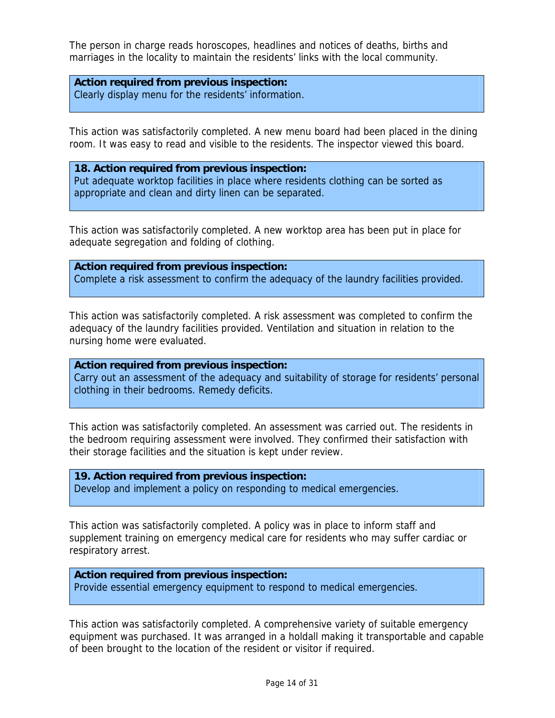The person in charge reads horoscopes, headlines and notices of deaths, births and marriages in the locality to maintain the residents' links with the local community.

**Action required from previous inspection:** Clearly display menu for the residents' information.

This action was satisfactorily completed. A new menu board had been placed in the dining room. It was easy to read and visible to the residents. The inspector viewed this board.

**18. Action required from previous inspection:** Put adequate worktop facilities in place where residents clothing can be sorted as appropriate and clean and dirty linen can be separated.

This action was satisfactorily completed. A new worktop area has been put in place for adequate segregation and folding of clothing.

**Action required from previous inspection:** Complete a risk assessment to confirm the adequacy of the laundry facilities provided.

This action was satisfactorily completed. A risk assessment was completed to confirm the adequacy of the laundry facilities provided. Ventilation and situation in relation to the nursing home were evaluated.

**Action required from previous inspection:** Carry out an assessment of the adequacy and suitability of storage for residents' personal clothing in their bedrooms. Remedy deficits.

This action was satisfactorily completed. An assessment was carried out. The residents in the bedroom requiring assessment were involved. They confirmed their satisfaction with their storage facilities and the situation is kept under review.

**19. Action required from previous inspection:** Develop and implement a policy on responding to medical emergencies.

This action was satisfactorily completed. A policy was in place to inform staff and supplement training on emergency medical care for residents who may suffer cardiac or respiratory arrest.

# **Action required from previous inspection:** Provide essential emergency equipment to respond to medical emergencies.

This action was satisfactorily completed. A comprehensive variety of suitable emergency equipment was purchased. It was arranged in a holdall making it transportable and capable of been brought to the location of the resident or visitor if required.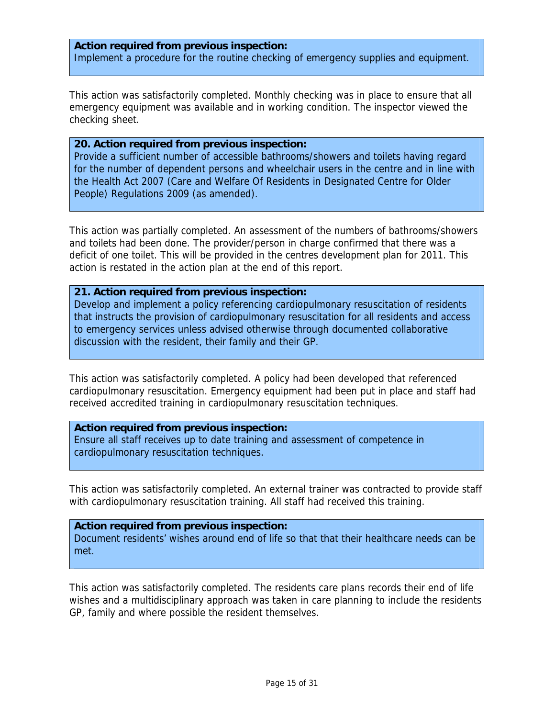## **Action required from previous inspection:** Implement a procedure for the routine checking of emergency supplies and equipment.

This action was satisfactorily completed. Monthly checking was in place to ensure that all emergency equipment was available and in working condition. The inspector viewed the checking sheet.

#### **20. Action required from previous inspection:**

Provide a sufficient number of accessible bathrooms/showers and toilets having regard for the number of dependent persons and wheelchair users in the centre and in line with the Health Act 2007 (Care and Welfare Of Residents in Designated Centre for Older People) Regulations 2009 (as amended).

This action was partially completed. An assessment of the numbers of bathrooms/showers and toilets had been done. The provider/person in charge confirmed that there was a deficit of one toilet. This will be provided in the centres development plan for 2011. This action is restated in the action plan at the end of this report.

#### **21. Action required from previous inspection:**

Develop and implement a policy referencing cardiopulmonary resuscitation of residents that instructs the provision of cardiopulmonary resuscitation for all residents and access to emergency services unless advised otherwise through documented collaborative discussion with the resident, their family and their GP.

This action was satisfactorily completed. A policy had been developed that referenced cardiopulmonary resuscitation. Emergency equipment had been put in place and staff had received accredited training in cardiopulmonary resuscitation techniques.

#### **Action required from previous inspection:**

Ensure all staff receives up to date training and assessment of competence in cardiopulmonary resuscitation techniques.

This action was satisfactorily completed. An external trainer was contracted to provide staff with cardiopulmonary resuscitation training. All staff had received this training.

#### **Action required from previous inspection:**

Document residents' wishes around end of life so that that their healthcare needs can be met.

This action was satisfactorily completed. The residents care plans records their end of life wishes and a multidisciplinary approach was taken in care planning to include the residents GP, family and where possible the resident themselves.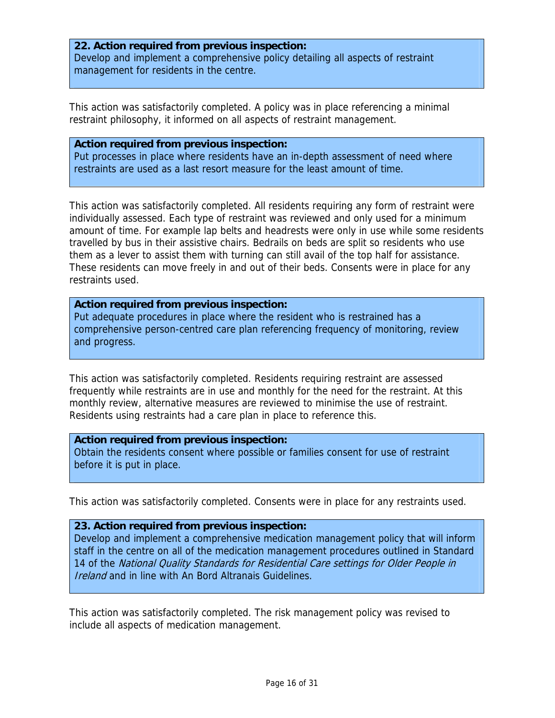## **22. Action required from previous inspection:** Develop and implement a comprehensive policy detailing all aspects of restraint management for residents in the centre.

This action was satisfactorily completed. A policy was in place referencing a minimal restraint philosophy, it informed on all aspects of restraint management.

#### **Action required from previous inspection:**

Put processes in place where residents have an in-depth assessment of need where restraints are used as a last resort measure for the least amount of time.

This action was satisfactorily completed. All residents requiring any form of restraint were individually assessed. Each type of restraint was reviewed and only used for a minimum amount of time. For example lap belts and headrests were only in use while some residents travelled by bus in their assistive chairs. Bedrails on beds are split so residents who use them as a lever to assist them with turning can still avail of the top half for assistance. These residents can move freely in and out of their beds. Consents were in place for any restraints used.

#### **Action required from previous inspection:**

Put adequate procedures in place where the resident who is restrained has a comprehensive person-centred care plan referencing frequency of monitoring, review and progress.

This action was satisfactorily completed. Residents requiring restraint are assessed frequently while restraints are in use and monthly for the need for the restraint. At this monthly review, alternative measures are reviewed to minimise the use of restraint. Residents using restraints had a care plan in place to reference this.

#### **Action required from previous inspection:**

Obtain the residents consent where possible or families consent for use of restraint before it is put in place.

This action was satisfactorily completed. Consents were in place for any restraints used.

## **23. Action required from previous inspection:**

Develop and implement a comprehensive medication management policy that will inform staff in the centre on all of the medication management procedures outlined in Standard 14 of the National Quality Standards for Residential Care settings for Older People in Ireland and in line with An Bord Altranais Guidelines.

This action was satisfactorily completed. The risk management policy was revised to include all aspects of medication management.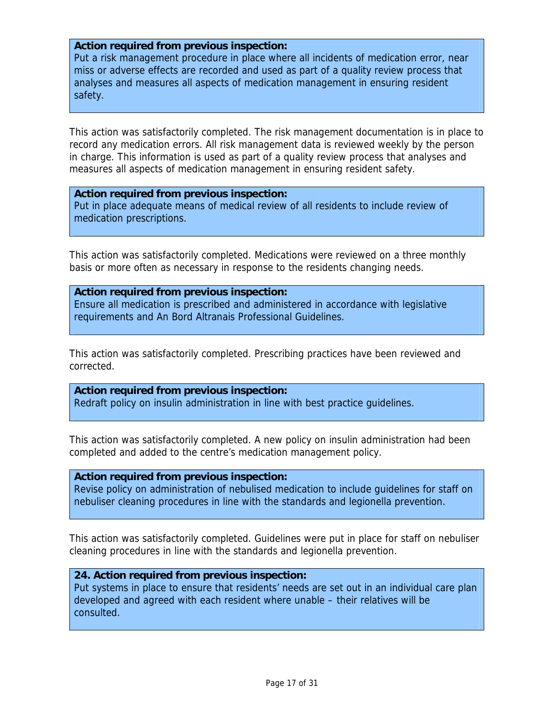#### **Action required from previous inspection:**

Put a risk management procedure in place where all incidents of medication error, near miss or adverse effects are recorded and used as part of a quality review process that analyses and measures all aspects of medication management in ensuring resident safety.

This action was satisfactorily completed. The risk management documentation is in place to record any medication errors. All risk management data is reviewed weekly by the person in charge. This information is used as part of a quality review process that analyses and measures all aspects of medication management in ensuring resident safety.

**Action required from previous inspection:** Put in place adequate means of medical review of all residents to include review of medication prescriptions.

This action was satisfactorily completed. Medications were reviewed on a three monthly basis or more often as necessary in response to the residents changing needs.

#### **Action required from previous inspection:**

Ensure all medication is prescribed and administered in accordance with legislative requirements and An Bord Altranais Professional Guidelines.

This action was satisfactorily completed. Prescribing practices have been reviewed and corrected.

#### **Action required from previous inspection:**

Redraft policy on insulin administration in line with best practice guidelines.

This action was satisfactorily completed. A new policy on insulin administration had been completed and added to the centre's medication management policy.

#### **Action required from previous inspection:**

Revise policy on administration of nebulised medication to include guidelines for staff on nebuliser cleaning procedures in line with the standards and legionella prevention.

This action was satisfactorily completed. Guidelines were put in place for staff on nebuliser cleaning procedures in line with the standards and legionella prevention.

#### **24. Action required from previous inspection:**

Put systems in place to ensure that residents' needs are set out in an individual care plan developed and agreed with each resident where unable – their relatives will be consulted.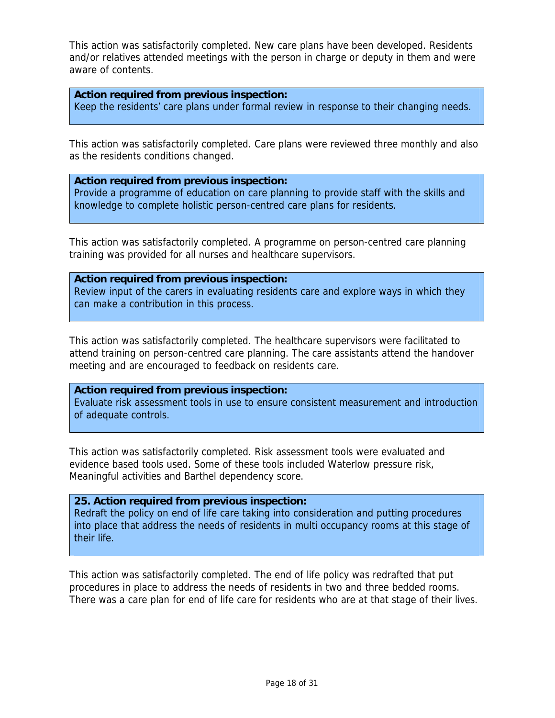This action was satisfactorily completed. New care plans have been developed. Residents and/or relatives attended meetings with the person in charge or deputy in them and were aware of contents.

#### **Action required from previous inspection:**

Keep the residents' care plans under formal review in response to their changing needs.

This action was satisfactorily completed. Care plans were reviewed three monthly and also as the residents conditions changed.

#### **Action required from previous inspection:**

Provide a programme of education on care planning to provide staff with the skills and knowledge to complete holistic person-centred care plans for residents.

This action was satisfactorily completed. A programme on person-centred care planning training was provided for all nurses and healthcare supervisors.

#### **Action required from previous inspection:**

Review input of the carers in evaluating residents care and explore ways in which they can make a contribution in this process.

This action was satisfactorily completed. The healthcare supervisors were facilitated to attend training on person-centred care planning. The care assistants attend the handover meeting and are encouraged to feedback on residents care.

## **Action required from previous inspection:**

Evaluate risk assessment tools in use to ensure consistent measurement and introduction of adequate controls.

This action was satisfactorily completed. Risk assessment tools were evaluated and evidence based tools used. Some of these tools included Waterlow pressure risk, Meaningful activities and Barthel dependency score.

## **25. Action required from previous inspection:**

Redraft the policy on end of life care taking into consideration and putting procedures into place that address the needs of residents in multi occupancy rooms at this stage of their life.

This action was satisfactorily completed. The end of life policy was redrafted that put procedures in place to address the needs of residents in two and three bedded rooms. There was a care plan for end of life care for residents who are at that stage of their lives.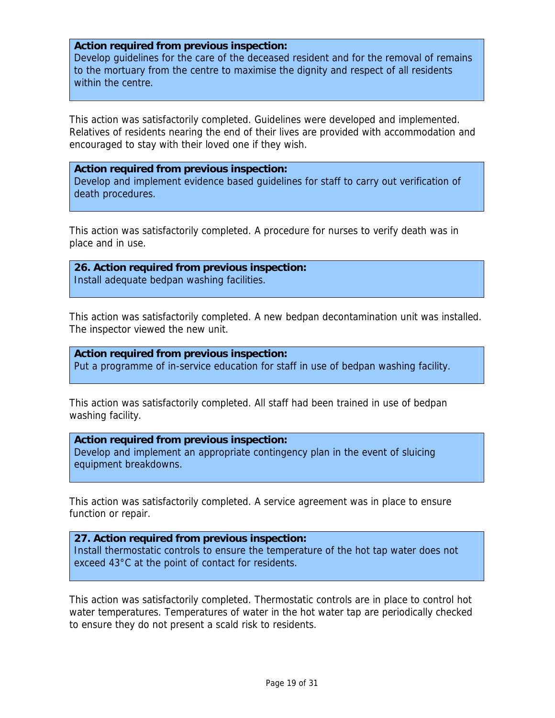#### **Action required from previous inspection:**

Develop guidelines for the care of the deceased resident and for the removal of remains to the mortuary from the centre to maximise the dignity and respect of all residents within the centre.

This action was satisfactorily completed. Guidelines were developed and implemented. Relatives of residents nearing the end of their lives are provided with accommodation and encouraged to stay with their loved one if they wish.

#### **Action required from previous inspection:**

Develop and implement evidence based guidelines for staff to carry out verification of death procedures.

This action was satisfactorily completed. A procedure for nurses to verify death was in place and in use.

**26. Action required from previous inspection:** Install adequate bedpan washing facilities.

This action was satisfactorily completed. A new bedpan decontamination unit was installed. The inspector viewed the new unit.

**Action required from previous inspection:** Put a programme of in-service education for staff in use of bedpan washing facility.

This action was satisfactorily completed. All staff had been trained in use of bedpan washing facility.

#### **Action required from previous inspection:**

Develop and implement an appropriate contingency plan in the event of sluicing equipment breakdowns.

This action was satisfactorily completed. A service agreement was in place to ensure function or repair.

**27. Action required from previous inspection:** Install thermostatic controls to ensure the temperature of the hot tap water does not exceed 43°C at the point of contact for residents.

This action was satisfactorily completed. Thermostatic controls are in place to control hot water temperatures. Temperatures of water in the hot water tap are periodically checked to ensure they do not present a scald risk to residents.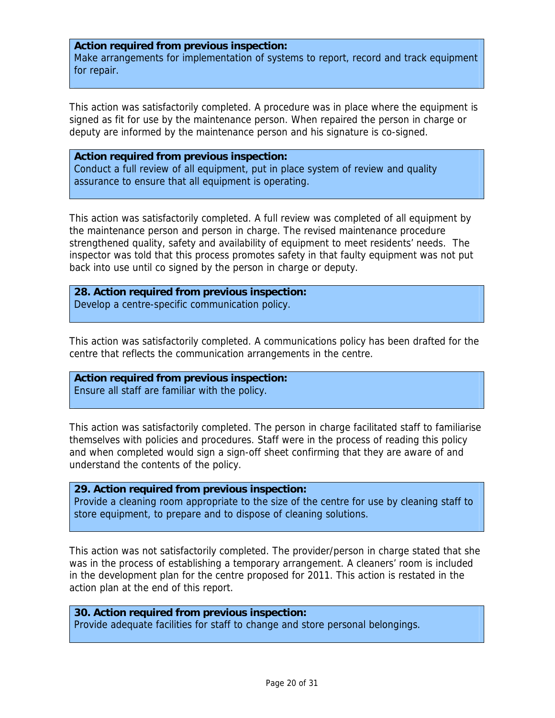#### **Action required from previous inspection:**

Make arrangements for implementation of systems to report, record and track equipment for repair.

This action was satisfactorily completed. A procedure was in place where the equipment is signed as fit for use by the maintenance person. When repaired the person in charge or deputy are informed by the maintenance person and his signature is co-signed.

**Action required from previous inspection:** Conduct a full review of all equipment, put in place system of review and quality assurance to ensure that all equipment is operating.

This action was satisfactorily completed. A full review was completed of all equipment by the maintenance person and person in charge. The revised maintenance procedure strengthened quality, safety and availability of equipment to meet residents' needs. The inspector was told that this process promotes safety in that faulty equipment was not put back into use until co signed by the person in charge or deputy.

**28. Action required from previous inspection:** Develop a centre-specific communication policy.

This action was satisfactorily completed. A communications policy has been drafted for the centre that reflects the communication arrangements in the centre.

**Action required from previous inspection:** Ensure all staff are familiar with the policy.

This action was satisfactorily completed. The person in charge facilitated staff to familiarise themselves with policies and procedures. Staff were in the process of reading this policy and when completed would sign a sign-off sheet confirming that they are aware of and understand the contents of the policy.

**29. Action required from previous inspection:** Provide a cleaning room appropriate to the size of the centre for use by cleaning staff to store equipment, to prepare and to dispose of cleaning solutions.

This action was not satisfactorily completed. The provider/person in charge stated that she was in the process of establishing a temporary arrangement. A cleaners' room is included in the development plan for the centre proposed for 2011. This action is restated in the action plan at the end of this report.

**30. Action required from previous inspection:** Provide adequate facilities for staff to change and store personal belongings.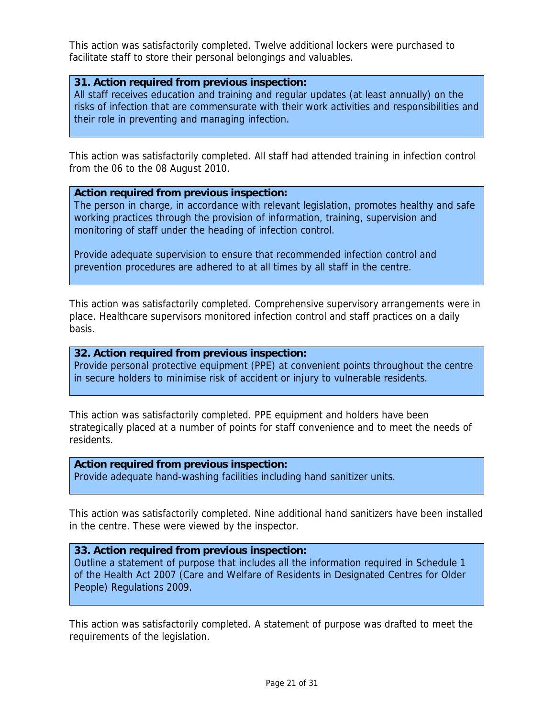This action was satisfactorily completed. Twelve additional lockers were purchased to facilitate staff to store their personal belongings and valuables.

#### **31. Action required from previous inspection:**

All staff receives education and training and regular updates (at least annually) on the risks of infection that are commensurate with their work activities and responsibilities and their role in preventing and managing infection.

This action was satisfactorily completed. All staff had attended training in infection control from the 06 to the 08 August 2010.

#### **Action required from previous inspection:**

The person in charge, in accordance with relevant legislation, promotes healthy and safe working practices through the provision of information, training, supervision and monitoring of staff under the heading of infection control.

Provide adequate supervision to ensure that recommended infection control and prevention procedures are adhered to at all times by all staff in the centre.

This action was satisfactorily completed. Comprehensive supervisory arrangements were in place. Healthcare supervisors monitored infection control and staff practices on a daily basis.

#### **32. Action required from previous inspection:**

Provide personal protective equipment (PPE) at convenient points throughout the centre in secure holders to minimise risk of accident or injury to vulnerable residents.

This action was satisfactorily completed. PPE equipment and holders have been strategically placed at a number of points for staff convenience and to meet the needs of residents.

#### **Action required from previous inspection:**

Provide adequate hand-washing facilities including hand sanitizer units.

This action was satisfactorily completed. Nine additional hand sanitizers have been installed in the centre. These were viewed by the inspector.

## **33. Action required from previous inspection:**

Outline a statement of purpose that includes all the information required in Schedule 1 of the Health Act 2007 (Care and Welfare of Residents in Designated Centres for Older People) Regulations 2009.

This action was satisfactorily completed. A statement of purpose was drafted to meet the requirements of the legislation.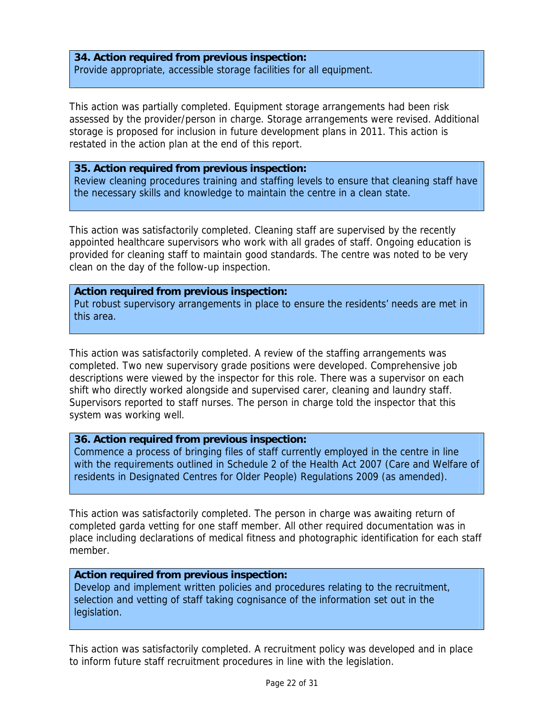## **34. Action required from previous inspection:** Provide appropriate, accessible storage facilities for all equipment.

This action was partially completed. Equipment storage arrangements had been risk assessed by the provider/person in charge. Storage arrangements were revised. Additional storage is proposed for inclusion in future development plans in 2011. This action is restated in the action plan at the end of this report.

#### **35. Action required from previous inspection:**

Review cleaning procedures training and staffing levels to ensure that cleaning staff have the necessary skills and knowledge to maintain the centre in a clean state.

This action was satisfactorily completed. Cleaning staff are supervised by the recently appointed healthcare supervisors who work with all grades of staff. Ongoing education is provided for cleaning staff to maintain good standards. The centre was noted to be very clean on the day of the follow-up inspection.

#### **Action required from previous inspection:**

Put robust supervisory arrangements in place to ensure the residents' needs are met in this area.

This action was satisfactorily completed. A review of the staffing arrangements was completed. Two new supervisory grade positions were developed. Comprehensive job descriptions were viewed by the inspector for this role. There was a supervisor on each shift who directly worked alongside and supervised carer, cleaning and laundry staff. Supervisors reported to staff nurses. The person in charge told the inspector that this system was working well.

## **36. Action required from previous inspection:**

Commence a process of bringing files of staff currently employed in the centre in line with the requirements outlined in Schedule 2 of the Health Act 2007 (Care and Welfare of residents in Designated Centres for Older People) Regulations 2009 (as amended).

This action was satisfactorily completed. The person in charge was awaiting return of completed garda vetting for one staff member. All other required documentation was in place including declarations of medical fitness and photographic identification for each staff member.

#### **Action required from previous inspection:**

Develop and implement written policies and procedures relating to the recruitment, selection and vetting of staff taking cognisance of the information set out in the legislation.

This action was satisfactorily completed. A recruitment policy was developed and in place to inform future staff recruitment procedures in line with the legislation.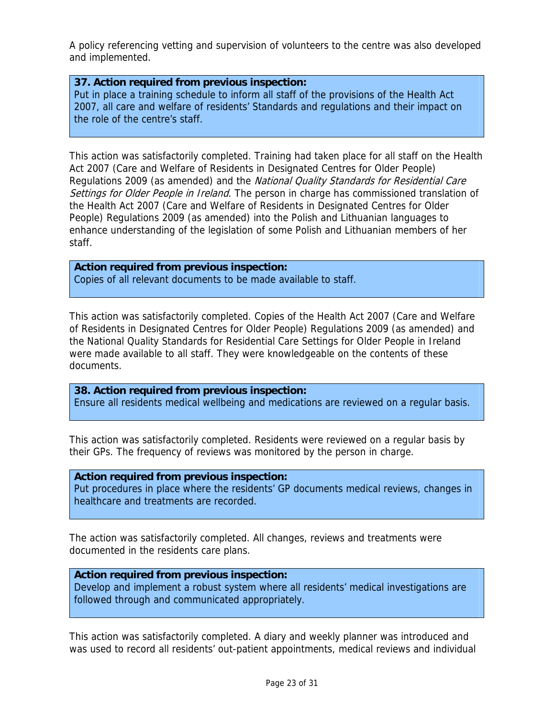A policy referencing vetting and supervision of volunteers to the centre was also developed and implemented.

## **37. Action required from previous inspection:**

Put in place a training schedule to inform all staff of the provisions of the Health Act 2007, all care and welfare of residents' Standards and regulations and their impact on the role of the centre's staff.

This action was satisfactorily completed. Training had taken place for all staff on the Health Act 2007 (Care and Welfare of Residents in Designated Centres for Older People) Regulations 2009 (as amended) and the National Quality Standards for Residential Care Settings for Older People in Ireland. The person in charge has commissioned translation of the Health Act 2007 (Care and Welfare of Residents in Designated Centres for Older People) Regulations 2009 (as amended) into the Polish and Lithuanian languages to enhance understanding of the legislation of some Polish and Lithuanian members of her staff.

# **Action required from previous inspection:**

Copies of all relevant documents to be made available to staff.

This action was satisfactorily completed. Copies of the Health Act 2007 (Care and Welfare of Residents in Designated Centres for Older People) Regulations 2009 (as amended) and the National Quality Standards for Residential Care Settings for Older People in Ireland were made available to all staff. They were knowledgeable on the contents of these documents.

**38. Action required from previous inspection:** Ensure all residents medical wellbeing and medications are reviewed on a regular basis.

This action was satisfactorily completed. Residents were reviewed on a regular basis by their GPs. The frequency of reviews was monitored by the person in charge.

#### **Action required from previous inspection:**

Put procedures in place where the residents' GP documents medical reviews, changes in healthcare and treatments are recorded.

The action was satisfactorily completed. All changes, reviews and treatments were documented in the residents care plans.

#### **Action required from previous inspection:**

Develop and implement a robust system where all residents' medical investigations are followed through and communicated appropriately.

This action was satisfactorily completed. A diary and weekly planner was introduced and was used to record all residents' out-patient appointments, medical reviews and individual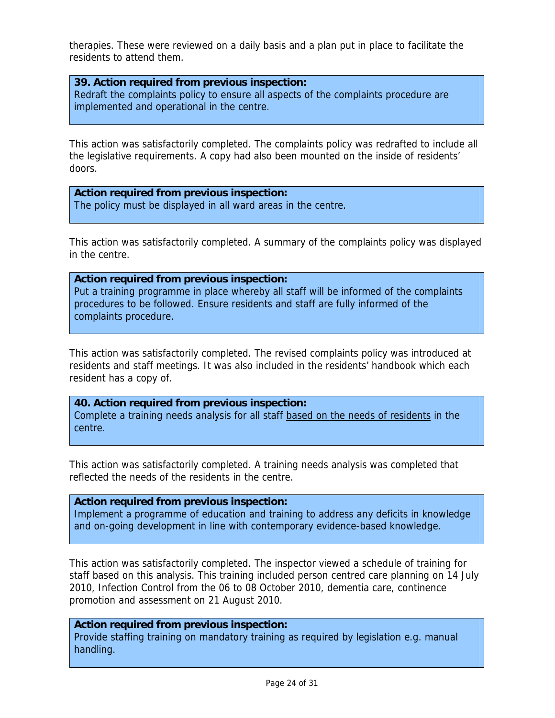therapies. These were reviewed on a daily basis and a plan put in place to facilitate the residents to attend them.

#### **39. Action required from previous inspection:**

Redraft the complaints policy to ensure all aspects of the complaints procedure are implemented and operational in the centre.

This action was satisfactorily completed. The complaints policy was redrafted to include all the legislative requirements. A copy had also been mounted on the inside of residents' doors.

**Action required from previous inspection:** The policy must be displayed in all ward areas in the centre.

This action was satisfactorily completed. A summary of the complaints policy was displayed in the centre.

**Action required from previous inspection:** Put a training programme in place whereby all staff will be informed of the complaints procedures to be followed. Ensure residents and staff are fully informed of the complaints procedure.

This action was satisfactorily completed. The revised complaints policy was introduced at residents and staff meetings. It was also included in the residents' handbook which each resident has a copy of.

**40. Action required from previous inspection:** Complete a training needs analysis for all staff based on the needs of residents in the centre.

This action was satisfactorily completed. A training needs analysis was completed that reflected the needs of the residents in the centre.

**Action required from previous inspection:**

Implement a programme of education and training to address any deficits in knowledge and on-going development in line with contemporary evidence-based knowledge.

This action was satisfactorily completed. The inspector viewed a schedule of training for staff based on this analysis. This training included person centred care planning on 14 July 2010, Infection Control from the 06 to 08 October 2010, dementia care, continence promotion and assessment on 21 August 2010.

#### **Action required from previous inspection:**

Provide staffing training on mandatory training as required by legislation e.g. manual handling.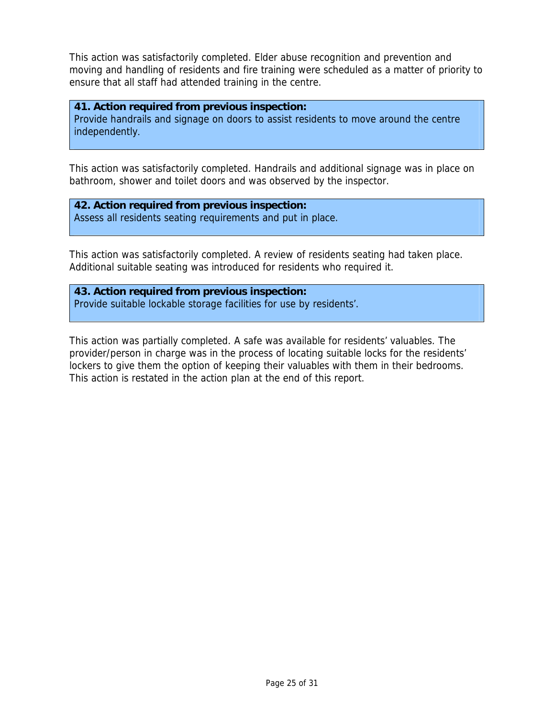This action was satisfactorily completed. Elder abuse recognition and prevention and moving and handling of residents and fire training were scheduled as a matter of priority to ensure that all staff had attended training in the centre.

#### **41. Action required from previous inspection:**

Provide handrails and signage on doors to assist residents to move around the centre independently.

This action was satisfactorily completed. Handrails and additional signage was in place on bathroom, shower and toilet doors and was observed by the inspector.

# **42. Action required from previous inspection:**

Assess all residents seating requirements and put in place.

This action was satisfactorily completed. A review of residents seating had taken place. Additional suitable seating was introduced for residents who required it.

**43. Action required from previous inspection:** Provide suitable lockable storage facilities for use by residents'.

This action was partially completed. A safe was available for residents' valuables. The provider/person in charge was in the process of locating suitable locks for the residents' lockers to give them the option of keeping their valuables with them in their bedrooms. This action is restated in the action plan at the end of this report.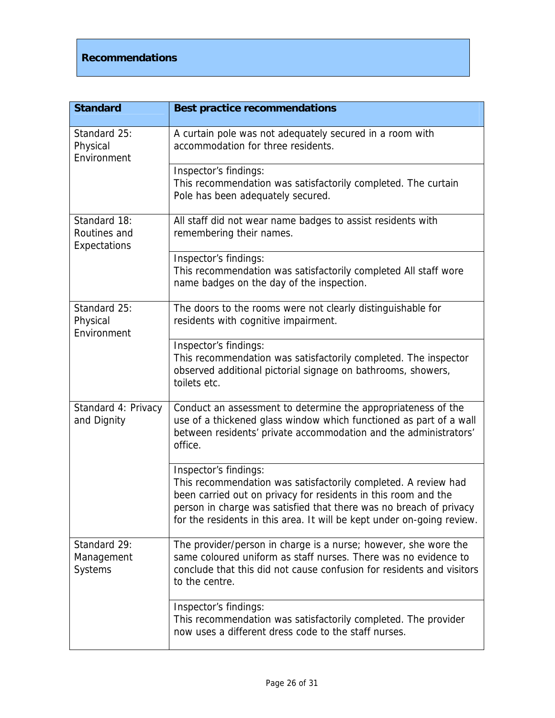# **Recommendations**

| <b>Standard</b>                                     | <b>Best practice recommendations</b>                                                                                                                                                                                                                                                                      |
|-----------------------------------------------------|-----------------------------------------------------------------------------------------------------------------------------------------------------------------------------------------------------------------------------------------------------------------------------------------------------------|
| Standard 25:<br>Physical<br>Environment             | A curtain pole was not adequately secured in a room with<br>accommodation for three residents.                                                                                                                                                                                                            |
|                                                     | Inspector's findings:<br>This recommendation was satisfactorily completed. The curtain<br>Pole has been adequately secured.                                                                                                                                                                               |
| Standard 18:<br>Routines and<br><b>Expectations</b> | All staff did not wear name badges to assist residents with<br>remembering their names.                                                                                                                                                                                                                   |
|                                                     | Inspector's findings:<br>This recommendation was satisfactorily completed All staff wore<br>name badges on the day of the inspection.                                                                                                                                                                     |
| Standard 25:<br>Physical<br>Environment             | The doors to the rooms were not clearly distinguishable for<br>residents with cognitive impairment.                                                                                                                                                                                                       |
|                                                     | Inspector's findings:<br>This recommendation was satisfactorily completed. The inspector<br>observed additional pictorial signage on bathrooms, showers,<br>toilets etc.                                                                                                                                  |
| Standard 4: Privacy<br>and Dignity                  | Conduct an assessment to determine the appropriateness of the<br>use of a thickened glass window which functioned as part of a wall<br>between residents' private accommodation and the administrators'<br>office.                                                                                        |
|                                                     | Inspector's findings:<br>This recommendation was satisfactorily completed. A review had<br>been carried out on privacy for residents in this room and the<br>person in charge was satisfied that there was no breach of privacy<br>for the residents in this area. It will be kept under on-going review. |
| Standard 29:<br>Management<br><b>Systems</b>        | The provider/person in charge is a nurse; however, she wore the<br>same coloured uniform as staff nurses. There was no evidence to<br>conclude that this did not cause confusion for residents and visitors<br>to the centre.                                                                             |
|                                                     | Inspector's findings:<br>This recommendation was satisfactorily completed. The provider<br>now uses a different dress code to the staff nurses.                                                                                                                                                           |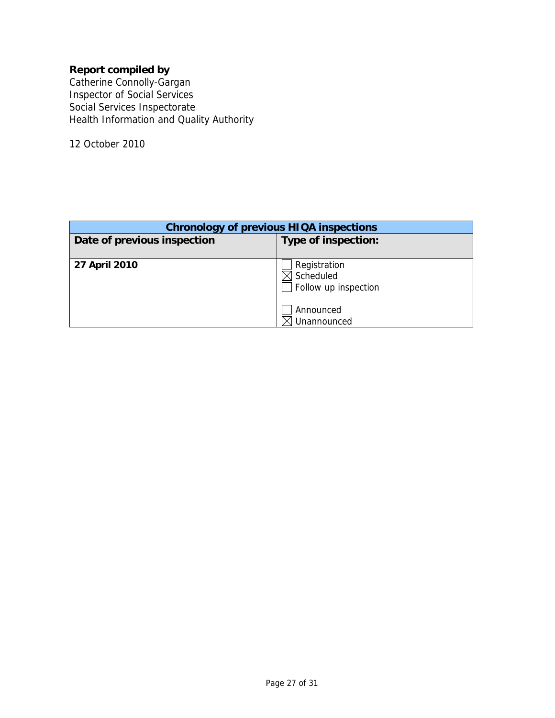# **Report compiled by**

Catherine Connolly-Gargan Inspector of Social Services Social Services Inspectorate Health Information and Quality Authority

12 October 2010

| <b>Chronology of previous HIQA inspections</b> |                                                   |  |  |
|------------------------------------------------|---------------------------------------------------|--|--|
| Date of previous inspection                    | Type of inspection:                               |  |  |
|                                                |                                                   |  |  |
| 27 April 2010                                  | Registration<br>Scheduled<br>Follow up inspection |  |  |
|                                                | Announced<br>Unannounced                          |  |  |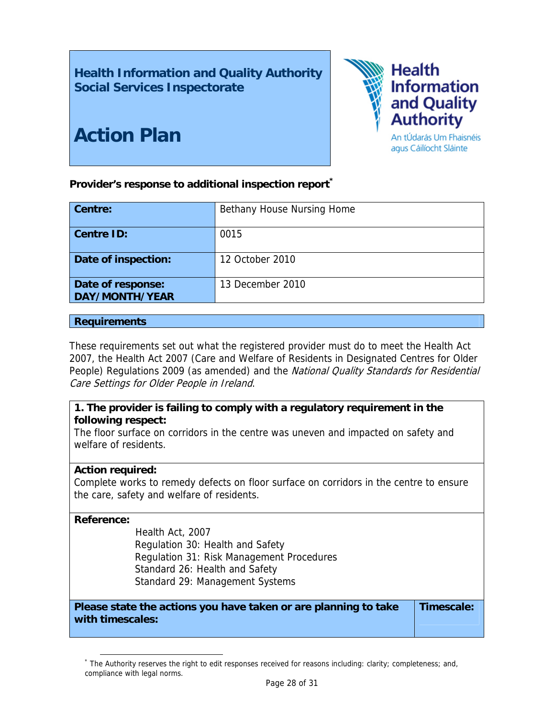**Health Information and Quality Authority Social Services Inspectorate** 



# **Action Plan**

Provider's response to additional inspection report<sup>\*</sup>

| Centre:                             | Bethany House Nursing Home |
|-------------------------------------|----------------------------|
| <b>Centre ID:</b>                   | 0015                       |
| Date of inspection:                 | 12 October 2010            |
| Date of response:<br>DAY/MONTH/YEAR | 13 December 2010           |

## **Requirements**

These requirements set out what the registered provider must do to meet the Health Act 2007, the Health Act 2007 (Care and Welfare of Residents in Designated Centres for Older People) Regulations 2009 (as amended) and the National Quality Standards for Residential Care Settings for Older People in Ireland.

# **1. The provider is failing to comply with a regulatory requirement in the following respect:**

The floor surface on corridors in the centre was uneven and impacted on safety and welfare of residents.

# **Action required:**

Complete works to remedy defects on floor surface on corridors in the centre to ensure the care, safety and welfare of residents.

## **Reference:**

Health Act, 2007 Regulation 30: Health and Safety Regulation 31: Risk Management Procedures Standard 26: Health and Safety Standard 29: Management Systems

**Please state the actions you have taken or are planning to take with timescales: Timescale:** 

 $\overline{a}$ \* The Authority reserves the right to edit responses received for reasons including: clarity; completeness; and, compliance with legal norms.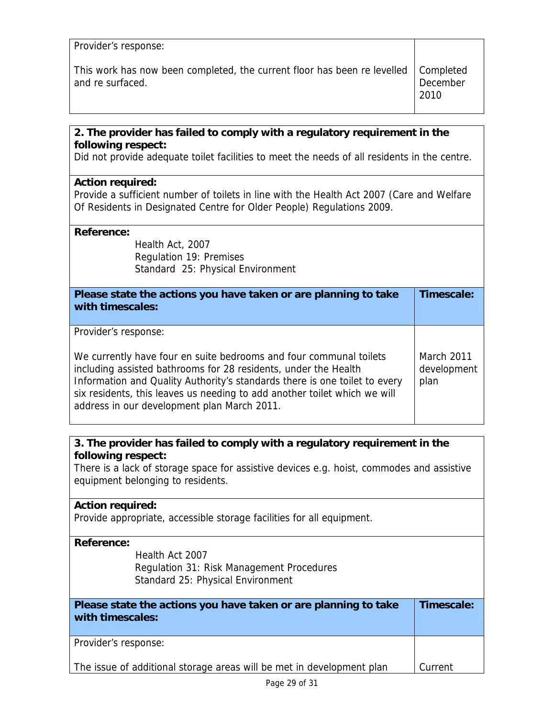| Provider's response:                                                                 |          |
|--------------------------------------------------------------------------------------|----------|
| This work has now been completed, the current floor has been re levelled   Completed | December |
| and re surfaced.                                                                     | 2010     |

# **2. The provider has failed to comply with a regulatory requirement in the following respect:**

Did not provide adequate toilet facilities to meet the needs of all residents in the centre.

## **Action required:**

Provide a sufficient number of toilets in line with the Health Act 2007 (Care and Welfare Of Residents in Designated Centre for Older People) Regulations 2009.

#### **Reference:**

 Health Act, 2007 Regulation 19: Premises Standard 25: Physical Environment

| Please state the actions you have taken or are planning to take<br>with timescales:                                                                                                                                                                                                                                                                                     | Timescale:                               |
|-------------------------------------------------------------------------------------------------------------------------------------------------------------------------------------------------------------------------------------------------------------------------------------------------------------------------------------------------------------------------|------------------------------------------|
| Provider's response:<br>We currently have four en suite bedrooms and four communal toilets<br>including assisted bathrooms for 28 residents, under the Health<br>Information and Quality Authority's standards there is one toilet to every<br>six residents, this leaves us needing to add another toilet which we will<br>address in our development plan March 2011. | <b>March 2011</b><br>development<br>plan |

# **3. The provider has failed to comply with a regulatory requirement in the following respect:**

There is a lack of storage space for assistive devices e.g. hoist, commodes and assistive equipment belonging to residents.

# **Action required:** Provide appropriate, accessible storage facilities for all equipment. **Reference:** Health Act 2007 Regulation 31: Risk Management Procedures Standard 25: Physical Environment **Please state the actions you have taken or are planning to take with timescales: Timescale:**  Provider's response: The issue of additional storage areas will be met in development plan [Current]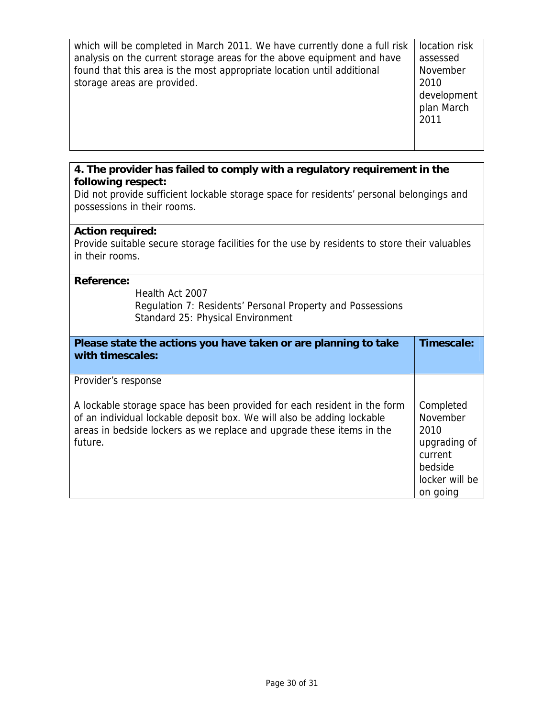which will be completed in March 2011. We have currently done a full risk analysis on the current storage areas for the above equipment and have found that this area is the most appropriate location until additional storage areas are provided. location risk assessed November 2010 development

plan March

2011

# **4. The provider has failed to comply with a regulatory requirement in the following respect:**

Did not provide sufficient lockable storage space for residents' personal belongings and possessions in their rooms.

## **Action required:**

Provide suitable secure storage facilities for the use by residents to store their valuables in their rooms.

#### **Reference:**

Health Act 2007 Regulation 7: Residents' Personal Property and Possessions Standard 25: Physical Environment

| Please state the actions you have taken or are planning to take<br>with timescales:                                                                                                                                                    | Timescale:                                                                                        |
|----------------------------------------------------------------------------------------------------------------------------------------------------------------------------------------------------------------------------------------|---------------------------------------------------------------------------------------------------|
| Provider's response                                                                                                                                                                                                                    |                                                                                                   |
| A lockable storage space has been provided for each resident in the form<br>of an individual lockable deposit box. We will also be adding lockable<br>areas in bedside lockers as we replace and upgrade these items in the<br>future. | Completed<br>November<br>2010<br>upgrading of<br>current<br>bedside<br>locker will be<br>on going |